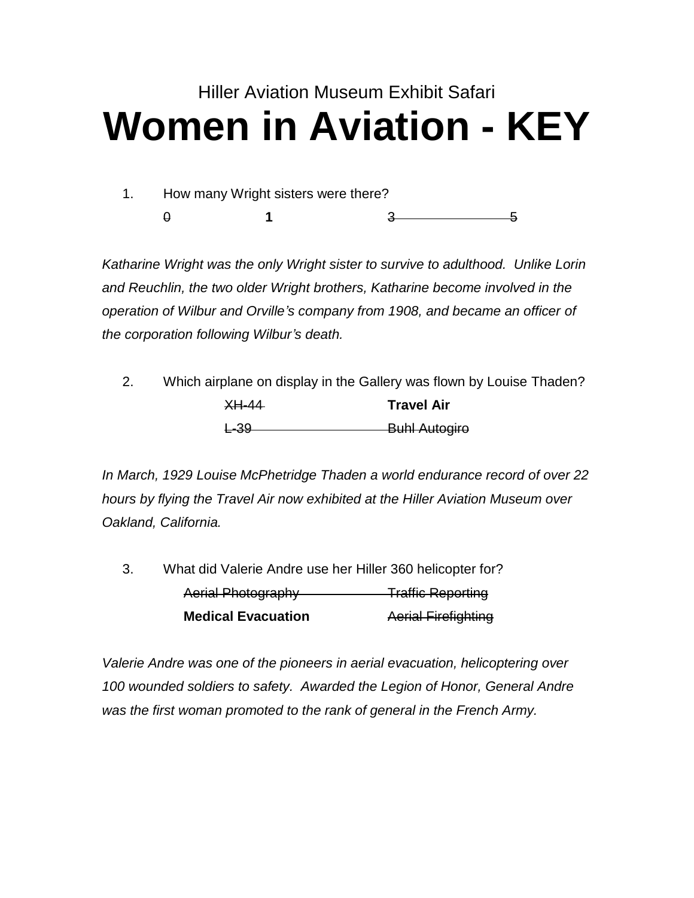## Hiller Aviation Museum Exhibit Safari **Women in Aviation - KEY**

1. How many Wright sisters were there? 0 **1** 3 5

*Katharine Wright was the only Wright sister to survive to adulthood. Unlike Lorin and Reuchlin, the two older Wright brothers, Katharine become involved in the operation of Wilbur and Orville's company from 1908, and became an officer of the corporation following Wilbur's death.*

| 2. |                  | Which airplane on display in the Gallery was flown by Louise Thaden? |
|----|------------------|----------------------------------------------------------------------|
|    | <del>XH-44</del> | <b>Travel Air</b>                                                    |
|    | <del>L-39</del>  | <b>Buhl Autogire</b>                                                 |

*In March, 1929 Louise McPhetridge Thaden a world endurance record of over 22 hours by flying the Travel Air now exhibited at the Hiller Aviation Museum over Oakland, California.*

| 3. | What did Valerie Andre use her Hiller 360 helicopter for? |                            |
|----|-----------------------------------------------------------|----------------------------|
|    | <b>Aerial Photography</b>                                 | <b>Traffic Reporting</b>   |
|    | <b>Medical Evacuation</b>                                 | <b>Aerial Firefighting</b> |

*Valerie Andre was one of the pioneers in aerial evacuation, helicoptering over 100 wounded soldiers to safety. Awarded the Legion of Honor, General Andre was the first woman promoted to the rank of general in the French Army.*